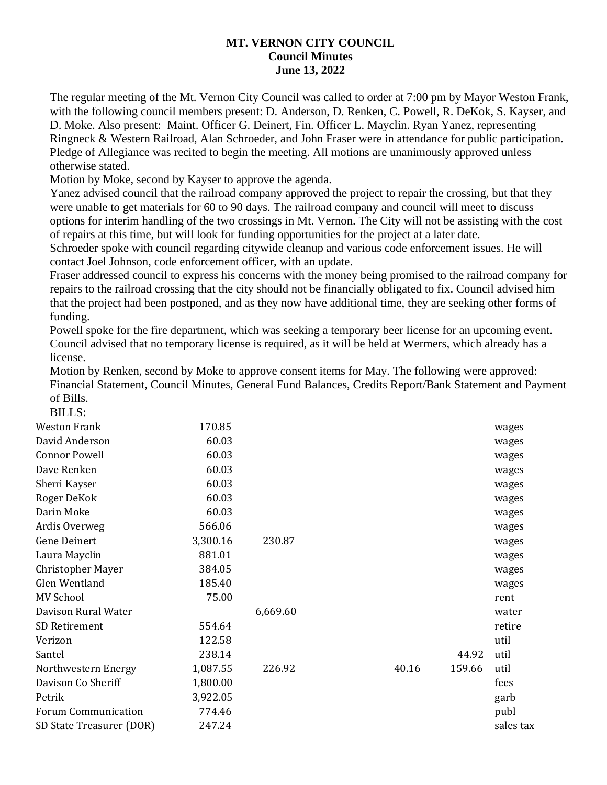## **MT. VERNON CITY COUNCIL Council Minutes June 13, 2022**

The regular meeting of the Mt. Vernon City Council was called to order at 7:00 pm by Mayor Weston Frank, with the following council members present: D. Anderson, D. Renken, C. Powell, R. DeKok, S. Kayser, and D. Moke. Also present: Maint. Officer G. Deinert, Fin. Officer L. Mayclin. Ryan Yanez, representing Ringneck & Western Railroad, Alan Schroeder, and John Fraser were in attendance for public participation. Pledge of Allegiance was recited to begin the meeting. All motions are unanimously approved unless otherwise stated.

Motion by Moke, second by Kayser to approve the agenda.

Yanez advised council that the railroad company approved the project to repair the crossing, but that they were unable to get materials for 60 to 90 days. The railroad company and council will meet to discuss options for interim handling of the two crossings in Mt. Vernon. The City will not be assisting with the cost of repairs at this time, but will look for funding opportunities for the project at a later date.

Schroeder spoke with council regarding citywide cleanup and various code enforcement issues. He will contact Joel Johnson, code enforcement officer, with an update.

Fraser addressed council to express his concerns with the money being promised to the railroad company for repairs to the railroad crossing that the city should not be financially obligated to fix. Council advised him that the project had been postponed, and as they now have additional time, they are seeking other forms of funding.

Powell spoke for the fire department, which was seeking a temporary beer license for an upcoming event. Council advised that no temporary license is required, as it will be held at Wermers, which already has a license.

Motion by Renken, second by Moke to approve consent items for May. The following were approved: Financial Statement, Council Minutes, General Fund Balances, Credits Report/Bank Statement and Payment of Bills. DILL<sub>C</sub>

| BILLS:                     |          |          |       |        |           |
|----------------------------|----------|----------|-------|--------|-----------|
| <b>Weston Frank</b>        | 170.85   |          |       |        | wages     |
| David Anderson             | 60.03    |          |       |        | wages     |
| <b>Connor Powell</b>       | 60.03    |          |       |        | wages     |
| Dave Renken                | 60.03    |          |       |        | wages     |
| Sherri Kayser              | 60.03    |          |       |        | wages     |
| Roger DeKok                | 60.03    |          |       |        | wages     |
| Darin Moke                 | 60.03    |          |       |        | wages     |
| Ardis Overweg              | 566.06   |          |       |        | wages     |
| <b>Gene Deinert</b>        | 3,300.16 | 230.87   |       |        | wages     |
| Laura Mayclin              | 881.01   |          |       |        | wages     |
| <b>Christopher Mayer</b>   | 384.05   |          |       |        | wages     |
| Glen Wentland              | 185.40   |          |       |        | wages     |
| <b>MV School</b>           | 75.00    |          |       |        | rent      |
| Davison Rural Water        |          | 6,669.60 |       |        | water     |
| SD Retirement              | 554.64   |          |       |        | retire    |
| Verizon                    | 122.58   |          |       |        | util      |
| Santel                     | 238.14   |          |       | 44.92  | util      |
| Northwestern Energy        | 1,087.55 | 226.92   | 40.16 | 159.66 | util      |
| Davison Co Sheriff         | 1,800.00 |          |       |        | fees      |
| Petrik                     | 3,922.05 |          |       |        | garb      |
| <b>Forum Communication</b> | 774.46   |          |       |        | publ      |
| SD State Treasurer (DOR)   | 247.24   |          |       |        | sales tax |
|                            |          |          |       |        |           |